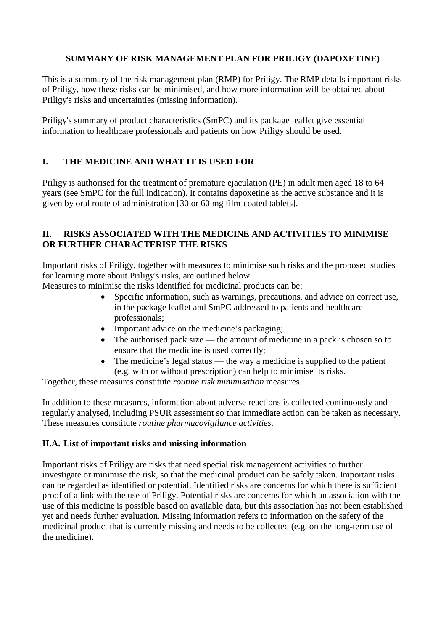## **SUMMARY OF RISK MANAGEMENT PLAN FOR PRILIGY (DAPOXETINE)**

This is a summary of the risk management plan (RMP) for Priligy. The RMP details important risks of Priligy, how these risks can be minimised, and how more information will be obtained about Priligy's risks and uncertainties (missing information).

Priligy's summary of product characteristics (SmPC) and its package leaflet give essential information to healthcare professionals and patients on how Priligy should be used.

## **I. THE MEDICINE AND WHAT IT IS USED FOR**

Priligy is authorised for the treatment of premature ejaculation (PE) in adult men aged 18 to 64 years (see SmPC for the full indication). It contains dapoxetine as the active substance and it is given by oral route of administration [30 or 60 mg film-coated tablets].

### **II. RISKS ASSOCIATED WITH THE MEDICINE AND ACTIVITIES TO MINIMISE OR FURTHER CHARACTERISE THE RISKS**

Important risks of Priligy, together with measures to minimise such risks and the proposed studies for learning more about Priligy's risks, are outlined below.

Measures to minimise the risks identified for medicinal products can be:

- Specific information, such as warnings, precautions, and advice on correct use, in the package leaflet and SmPC addressed to patients and healthcare professionals;
- Important advice on the medicine's packaging;
- The authorised pack size the amount of medicine in a pack is chosen so to ensure that the medicine is used correctly;
- The medicine's legal status the way a medicine is supplied to the patient (e.g. with or without prescription) can help to minimise its risks.

Together, these measures constitute *routine risk minimisation* measures.

In addition to these measures, information about adverse reactions is collected continuously and regularly analysed, including PSUR assessment so that immediate action can be taken as necessary. These measures constitute *routine pharmacovigilance activities*.

#### **II.A. List of important risks and missing information**

Important risks of Priligy are risks that need special risk management activities to further investigate or minimise the risk, so that the medicinal product can be safely taken. Important risks can be regarded as identified or potential. Identified risks are concerns for which there is sufficient proof of a link with the use of Priligy. Potential risks are concerns for which an association with the use of this medicine is possible based on available data, but this association has not been established yet and needs further evaluation. Missing information refers to information on the safety of the medicinal product that is currently missing and needs to be collected (e.g. on the long-term use of the medicine).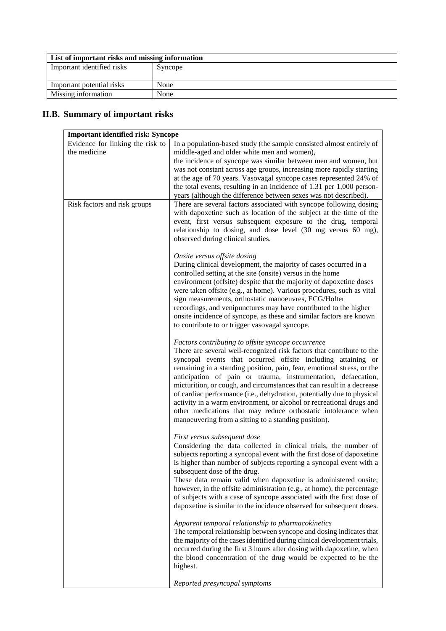| List of important risks and missing information |         |
|-------------------------------------------------|---------|
| Important identified risks                      | Syncope |
|                                                 |         |
| Important potential risks                       | None    |
| Missing information                             | None    |

# **II.B. Summary of important risks**

| <b>Important identified risk: Syncope</b>        |                                                                                                                                                                                                                                                                                                                                                                                                                                                                                                                                                                                                                                                                                              |  |
|--------------------------------------------------|----------------------------------------------------------------------------------------------------------------------------------------------------------------------------------------------------------------------------------------------------------------------------------------------------------------------------------------------------------------------------------------------------------------------------------------------------------------------------------------------------------------------------------------------------------------------------------------------------------------------------------------------------------------------------------------------|--|
| Evidence for linking the risk to<br>the medicine | In a population-based study (the sample consisted almost entirely of<br>middle-aged and older white men and women),<br>the incidence of syncope was similar between men and women, but<br>was not constant across age groups, increasing more rapidly starting<br>at the age of 70 years. Vasovagal syncope cases represented 24% of<br>the total events, resulting in an incidence of 1.31 per 1,000 person-<br>years (although the difference between sexes was not described).                                                                                                                                                                                                            |  |
| Risk factors and risk groups                     | There are several factors associated with syncope following dosing<br>with dapoxetine such as location of the subject at the time of the<br>event, first versus subsequent exposure to the drug, temporal<br>relationship to dosing, and dose level (30 mg versus 60 mg),<br>observed during clinical studies.                                                                                                                                                                                                                                                                                                                                                                               |  |
|                                                  | Onsite versus offsite dosing<br>During clinical development, the majority of cases occurred in a<br>controlled setting at the site (onsite) versus in the home<br>environment (offsite) despite that the majority of dapoxetine doses<br>were taken offsite (e.g., at home). Various procedures, such as vital<br>sign measurements, orthostatic manoeuvres, ECG/Holter<br>recordings, and venipunctures may have contributed to the higher<br>onsite incidence of syncope, as these and similar factors are known<br>to contribute to or trigger vasovagal syncope.                                                                                                                         |  |
|                                                  | Factors contributing to offsite syncope occurrence<br>There are several well-recognized risk factors that contribute to the<br>syncopal events that occurred offsite including attaining or<br>remaining in a standing position, pain, fear, emotional stress, or the<br>anticipation of pain or trauma, instrumentation, defaecation,<br>micturition, or cough, and circumstances that can result in a decrease<br>of cardiac performance (i.e., dehydration, potentially due to physical<br>activity in a warm environment, or alcohol or recreational drugs and<br>other medications that may reduce orthostatic intolerance when<br>manoeuvering from a sitting to a standing position). |  |
|                                                  | First versus subsequent dose<br>Considering the data collected in clinical trials, the number of<br>subjects reporting a syncopal event with the first dose of dapoxetine<br>is higher than number of subjects reporting a syncopal event with a<br>subsequent dose of the drug.<br>These data remain valid when dapoxetine is administered onsite;<br>however, in the offsite administration (e.g., at home), the percentage<br>of subjects with a case of syncope associated with the first dose of<br>dapoxetine is similar to the incidence observed for subsequent doses.                                                                                                               |  |
|                                                  | Apparent temporal relationship to pharmacokinetics<br>The temporal relationship between syncope and dosing indicates that<br>the majority of the cases identified during clinical development trials,<br>occurred during the first 3 hours after dosing with dapoxetine, when<br>the blood concentration of the drug would be expected to be the<br>highest.                                                                                                                                                                                                                                                                                                                                 |  |
|                                                  | Reported presyncopal symptoms                                                                                                                                                                                                                                                                                                                                                                                                                                                                                                                                                                                                                                                                |  |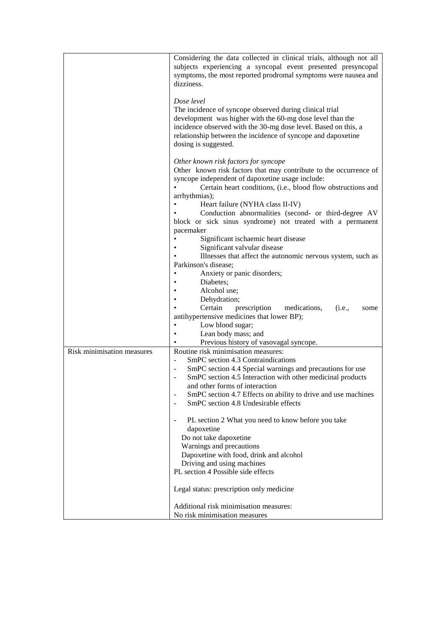|                            | Considering the data collected in clinical trials, although not all<br>subjects experiencing a syncopal event presented presyncopal<br>symptoms, the most reported prodromal symptoms were nausea and                                                                                                                                                                               |
|----------------------------|-------------------------------------------------------------------------------------------------------------------------------------------------------------------------------------------------------------------------------------------------------------------------------------------------------------------------------------------------------------------------------------|
|                            | dizziness.                                                                                                                                                                                                                                                                                                                                                                          |
|                            | Dose level<br>The incidence of syncope observed during clinical trial<br>development was higher with the 60-mg dose level than the<br>incidence observed with the 30-mg dose level. Based on this, a<br>relationship between the incidence of syncope and dapoxetine<br>dosing is suggested.                                                                                        |
|                            | Other known risk factors for syncope<br>Other known risk factors that may contribute to the occurrence of<br>syncope independent of dapoxetine usage include:<br>Certain heart conditions, (i.e., blood flow obstructions and<br>arrhythmias);                                                                                                                                      |
|                            | Heart failure (NYHA class II-IV)<br>Conduction abnormalities (second- or third-degree AV<br>block or sick sinus syndrome) not treated with a permanent<br>pacemaker<br>Significant ischaemic heart disease                                                                                                                                                                          |
|                            | Significant valvular disease<br>Illnesses that affect the autonomic nervous system, such as<br>Parkinson's disease;                                                                                                                                                                                                                                                                 |
|                            | Anxiety or panic disorders;<br>Diabetes;<br>Alcohol use;                                                                                                                                                                                                                                                                                                                            |
|                            | Dehydration;<br>Certain<br>prescription<br>medications,<br>(i.e.,<br>some<br>antihypertensive medicines that lower BP);<br>Low blood sugar;<br>Lean body mass; and                                                                                                                                                                                                                  |
|                            | Previous history of vasovagal syncope.                                                                                                                                                                                                                                                                                                                                              |
| Risk minimisation measures | Routine risk minimisation measures:<br>SmPC section 4.3 Contraindications<br>SmPC section 4.4 Special warnings and precautions for use<br>$\blacksquare$<br>SmPC section 4.5 Interaction with other medicinal products<br>$\blacksquare$<br>and other forms of interaction<br>SmPC section 4.7 Effects on ability to drive and use machines<br>SmPC section 4.8 Undesirable effects |
|                            | PL section 2 What you need to know before you take<br>$\blacksquare$<br>dapoxetine<br>Do not take dapoxetine<br>Warnings and precautions<br>Dapoxetine with food, drink and alcohol<br>Driving and using machines<br>PL section 4 Possible side effects                                                                                                                             |
|                            | Legal status: prescription only medicine                                                                                                                                                                                                                                                                                                                                            |
|                            | Additional risk minimisation measures:<br>No risk minimisation measures                                                                                                                                                                                                                                                                                                             |